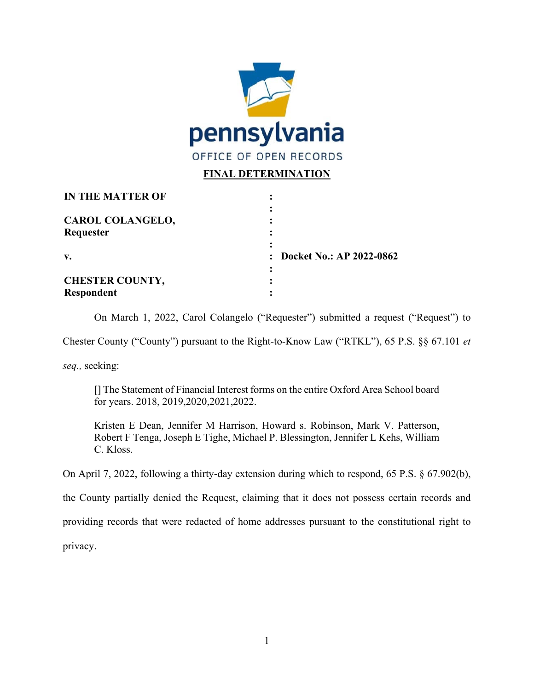

## **FINAL DETERMINATION**

| <b>IN THE MATTER OF</b> |                            |
|-------------------------|----------------------------|
| <b>CAROL COLANGELO,</b> |                            |
| Requester               |                            |
| V.                      | : Docket No.: AP 2022-0862 |
| <b>CHESTER COUNTY,</b>  |                            |
| <b>Respondent</b>       |                            |

On March 1, 2022, Carol Colangelo ("Requester") submitted a request ("Request") to

Chester County ("County") pursuant to the Right-to-Know Law ("RTKL"), 65 P.S. §§ 67.101 *et* 

*seq.,* seeking:

[] The Statement of Financial Interest forms on the entire Oxford Area School board for years. 2018, 2019,2020,2021,2022.

Kristen E Dean, Jennifer M Harrison, Howard s. Robinson, Mark V. Patterson, Robert F Tenga, Joseph E Tighe, Michael P. Blessington, Jennifer L Kehs, William C. Kloss.

On April 7, 2022, following a thirty-day extension during which to respond, 65 P.S. § 67.902(b),

the County partially denied the Request, claiming that it does not possess certain records and

providing records that were redacted of home addresses pursuant to the constitutional right to

privacy.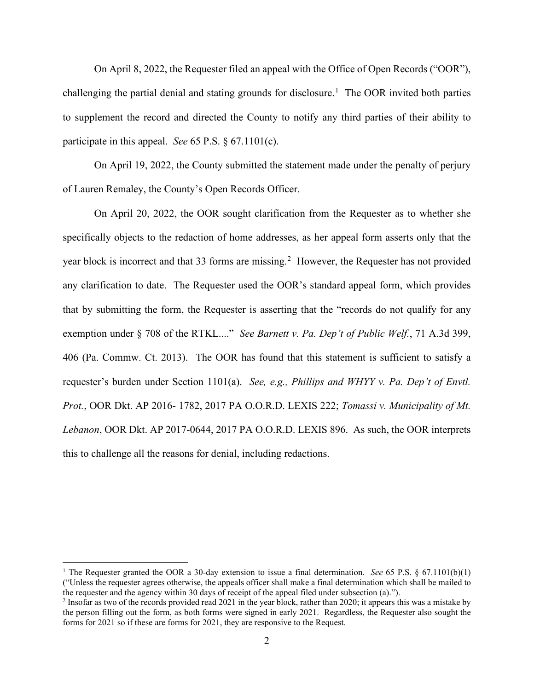On April 8, 2022, the Requester filed an appeal with the Office of Open Records ("OOR"), challenging the partial denial and stating grounds for disclosure.<sup>[1](#page-1-0)</sup> The OOR invited both parties to supplement the record and directed the County to notify any third parties of their ability to participate in this appeal. *See* 65 P.S. § 67.1101(c).

On April 19, 2022, the County submitted the statement made under the penalty of perjury of Lauren Remaley, the County's Open Records Officer.

On April 20, 2022, the OOR sought clarification from the Requester as to whether she specifically objects to the redaction of home addresses, as her appeal form asserts only that the year block is incorrect and that 33 forms are missing.<sup>[2](#page-1-1)</sup> However, the Requester has not provided any clarification to date. The Requester used the OOR's standard appeal form, which provides that by submitting the form, the Requester is asserting that the "records do not qualify for any exemption under § 708 of the RTKL...." *See Barnett v. Pa. Dep't of Public Welf.*, 71 A.3d 399, 406 (Pa. Commw. Ct. 2013). The OOR has found that this statement is sufficient to satisfy a requester's burden under Section 1101(a). *See, e.g., Phillips and WHYY v. Pa. Dep't of Envtl. Prot.*, OOR Dkt. AP 2016- 1782, 2017 PA O.O.R.D. LEXIS 222; *Tomassi v. Municipality of Mt. Lebanon*, OOR Dkt. AP 2017-0644, 2017 PA O.O.R.D. LEXIS 896. As such, the OOR interprets this to challenge all the reasons for denial, including redactions.

<span id="page-1-0"></span><sup>&</sup>lt;sup>1</sup> The Requester granted the OOR a 30-day extension to issue a final determination. *See* 65 P.S.  $\S$  67.1101(b)(1) ("Unless the requester agrees otherwise, the appeals officer shall make a final determination which shall be mailed to the requester and the agency within 30 days of receipt of the appeal filed under subsection (a).").

<span id="page-1-1"></span><sup>&</sup>lt;sup>2</sup> Insofar as two of the records provided read 2021 in the year block, rather than 2020; it appears this was a mistake by the person filling out the form, as both forms were signed in early 2021. Regardless, the Requester also sought the forms for 2021 so if these are forms for 2021, they are responsive to the Request.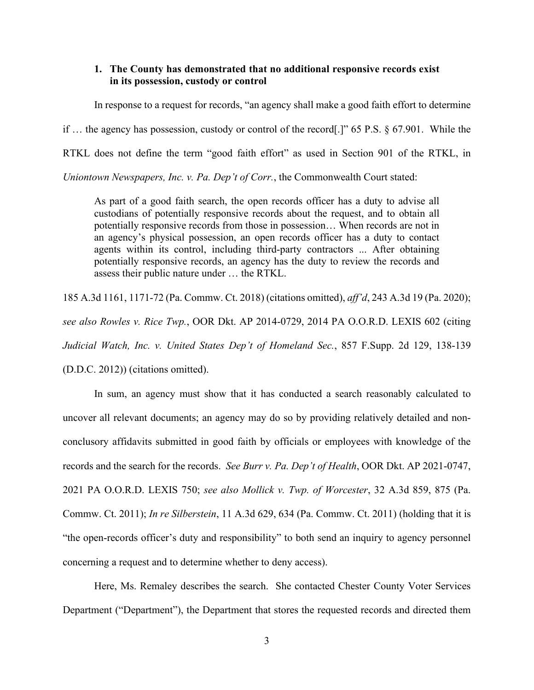## **1. The County has demonstrated that no additional responsive records exist in its possession, custody or control**

In response to a request for records, "an agency shall make a good faith effort to determine

if … the agency has possession, custody or control of the record[.]" 65 P.S. § 67.901. While the

RTKL does not define the term "good faith effort" as used in Section 901 of the RTKL, in

*Uniontown Newspapers, Inc. v. Pa. Dep't of Corr.*, the Commonwealth Court stated:

As part of a good faith search, the open records officer has a duty to advise all custodians of potentially responsive records about the request, and to obtain all potentially responsive records from those in possession… When records are not in an agency's physical possession, an open records officer has a duty to contact agents within its control, including third-party contractors ... After obtaining potentially responsive records, an agency has the duty to review the records and assess their public nature under … the RTKL.

185 A.3d 1161, 1171-72 (Pa. Commw. Ct. 2018) (citations omitted), *aff'd*, 243 A.3d 19 (Pa. 2020); *see also Rowles v. Rice Twp.*, OOR Dkt. AP 2014-0729, 2014 PA O.O.R.D. LEXIS 602 (citing *Judicial Watch, Inc. v. United States Dep't of Homeland Sec.*, 857 F.Supp. 2d 129, 138-139 (D.D.C. 2012)) (citations omitted).

In sum, an agency must show that it has conducted a search reasonably calculated to uncover all relevant documents; an agency may do so by providing relatively detailed and nonconclusory affidavits submitted in good faith by officials or employees with knowledge of the records and the search for the records. *See Burr v. Pa. Dep't of Health*, OOR Dkt. AP 2021-0747, 2021 PA O.O.R.D. LEXIS 750; *see also Mollick v. Twp. of Worcester*, 32 A.3d 859, 875 (Pa. Commw. Ct. 2011); *In re Silberstein*, 11 A.3d 629, 634 (Pa. Commw. Ct. 2011) (holding that it is "the open-records officer's duty and responsibility" to both send an inquiry to agency personnel concerning a request and to determine whether to deny access).

Here, Ms. Remaley describes the search. She contacted Chester County Voter Services Department ("Department"), the Department that stores the requested records and directed them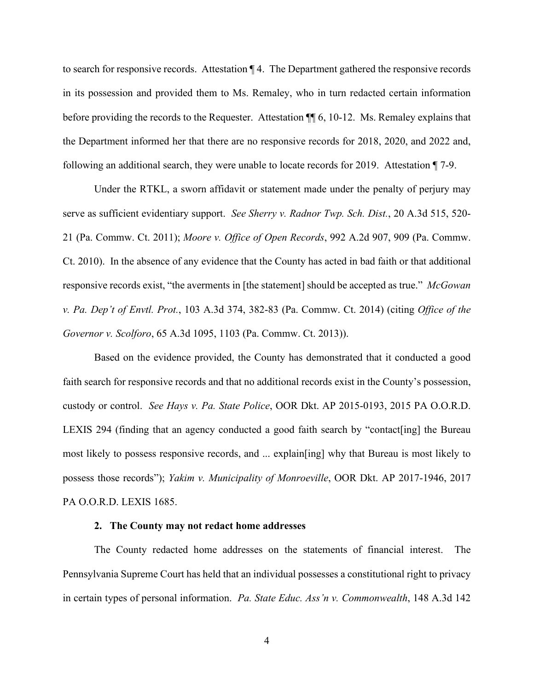to search for responsive records. Attestation ¶ 4. The Department gathered the responsive records in its possession and provided them to Ms. Remaley, who in turn redacted certain information before providing the records to the Requester. Attestation  $\P$  6, 10-12. Ms. Remaley explains that the Department informed her that there are no responsive records for 2018, 2020, and 2022 and, following an additional search, they were unable to locate records for 2019. Attestation ¶ 7-9.

Under the RTKL, a sworn affidavit or statement made under the penalty of perjury may serve as sufficient evidentiary support. *See Sherry v. Radnor Twp. Sch. Dist.*, 20 A.3d 515, 520- 21 (Pa. Commw. Ct. 2011); *Moore v. Office of Open Records*, 992 A.2d 907, 909 (Pa. Commw. Ct. 2010). In the absence of any evidence that the County has acted in bad faith or that additional responsive records exist, "the averments in [the statement] should be accepted as true." *McGowan v. Pa. Dep't of Envtl. Prot.*, 103 A.3d 374, 382-83 (Pa. Commw. Ct. 2014) (citing *Office of the Governor v. Scolforo*, 65 A.3d 1095, 1103 (Pa. Commw. Ct. 2013)).

Based on the evidence provided, the County has demonstrated that it conducted a good faith search for responsive records and that no additional records exist in the County's possession, custody or control. *See Hays v. Pa. State Police*, OOR Dkt. AP 2015-0193, 2015 PA O.O.R.D. LEXIS 294 (finding that an agency conducted a good faith search by "contact[ing] the Bureau most likely to possess responsive records, and ... explain[ing] why that Bureau is most likely to possess those records"); *Yakim v. Municipality of Monroeville*, OOR Dkt. AP 2017-1946, 2017 PA O.O.R.D. LEXIS 1685.

## **2. The County may not redact home addresses**

The County redacted home addresses on the statements of financial interest. The Pennsylvania Supreme Court has held that an individual possesses a constitutional right to privacy in certain types of personal information. *Pa. State Educ. Ass'n v. Commonwealth*, 148 A.3d 142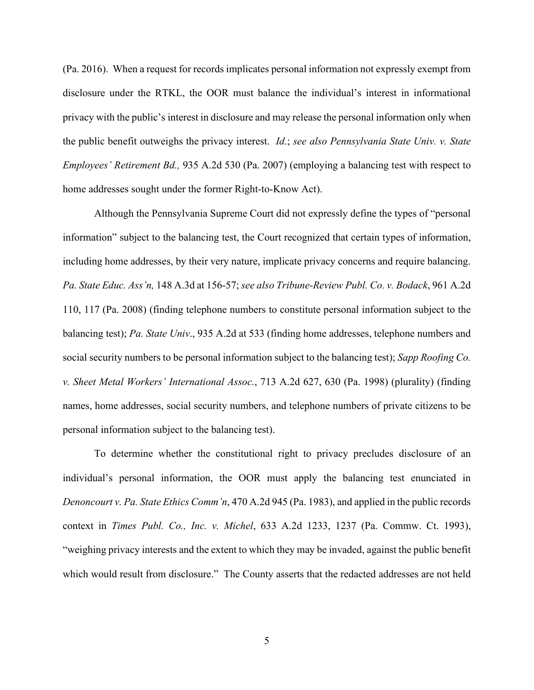(Pa. 2016). When a request for records implicates personal information not expressly exempt from disclosure under the RTKL, the OOR must balance the individual's interest in informational privacy with the public's interest in disclosure and may release the personal information only when the public benefit outweighs the privacy interest. *Id*.; *see also Pennsylvania State Univ. v. State Employees' Retirement Bd.,* 935 A.2d 530 (Pa. 2007) (employing a balancing test with respect to home addresses sought under the former Right-to-Know Act).

Although the Pennsylvania Supreme Court did not expressly define the types of "personal information" subject to the balancing test, the Court recognized that certain types of information, including home addresses, by their very nature, implicate privacy concerns and require balancing. *Pa. State Educ. Ass'n,* 148 A.3d at 156-57; *see also Tribune-Review Publ. Co. v. Bodack*, 961 A.2d 110, 117 (Pa. 2008) (finding telephone numbers to constitute personal information subject to the balancing test); *Pa. State Univ*., 935 A.2d at 533 (finding home addresses, telephone numbers and social security numbers to be personal information subject to the balancing test); *Sapp Roofing Co. v. Sheet Metal Workers' International Assoc.*, 713 A.2d 627, 630 (Pa. 1998) (plurality) (finding names, home addresses, social security numbers, and telephone numbers of private citizens to be personal information subject to the balancing test).

To determine whether the constitutional right to privacy precludes disclosure of an individual's personal information, the OOR must apply the balancing test enunciated in *Denoncourt v. Pa. State Ethics Comm'n*, 470 A.2d 945 (Pa. 1983), and applied in the public records context in *Times Publ. Co., Inc. v. Michel*, 633 A.2d 1233, 1237 (Pa. Commw. Ct. 1993), "weighing privacy interests and the extent to which they may be invaded, against the public benefit which would result from disclosure." The County asserts that the redacted addresses are not held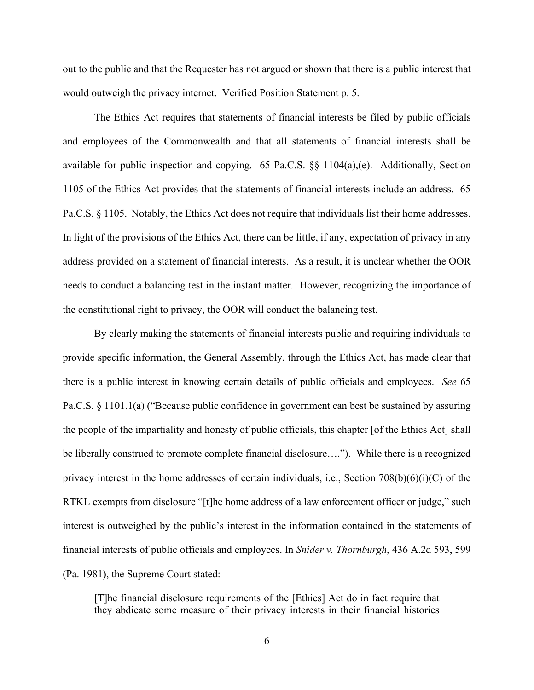out to the public and that the Requester has not argued or shown that there is a public interest that would outweigh the privacy internet. Verified Position Statement p. 5.

The Ethics Act requires that statements of financial interests be filed by public officials and employees of the Commonwealth and that all statements of financial interests shall be available for public inspection and copying. 65 Pa.C.S.  $\S$  1104(a),(e). Additionally, Section 1105 of the Ethics Act provides that the statements of financial interests include an address. 65 Pa.C.S. § 1105. Notably, the Ethics Act does not require that individuals list their home addresses. In light of the provisions of the Ethics Act, there can be little, if any, expectation of privacy in any address provided on a statement of financial interests. As a result, it is unclear whether the OOR needs to conduct a balancing test in the instant matter. However, recognizing the importance of the constitutional right to privacy, the OOR will conduct the balancing test.

By clearly making the statements of financial interests public and requiring individuals to provide specific information, the General Assembly, through the Ethics Act, has made clear that there is a public interest in knowing certain details of public officials and employees. *See* 65 Pa.C.S. § 1101.1(a) ("Because public confidence in government can best be sustained by assuring the people of the impartiality and honesty of public officials, this chapter [of the Ethics Act] shall be liberally construed to promote complete financial disclosure…."). While there is a recognized privacy interest in the home addresses of certain individuals, i.e., Section  $708(b)(6)(i)(C)$  of the RTKL exempts from disclosure "[t]he home address of a law enforcement officer or judge," such interest is outweighed by the public's interest in the information contained in the statements of financial interests of public officials and employees. In *Snider v. Thornburgh*, 436 A.2d 593, 599 (Pa. 1981), the Supreme Court stated:

[T]he financial disclosure requirements of the [Ethics] Act do in fact require that they abdicate some measure of their privacy interests in their financial histories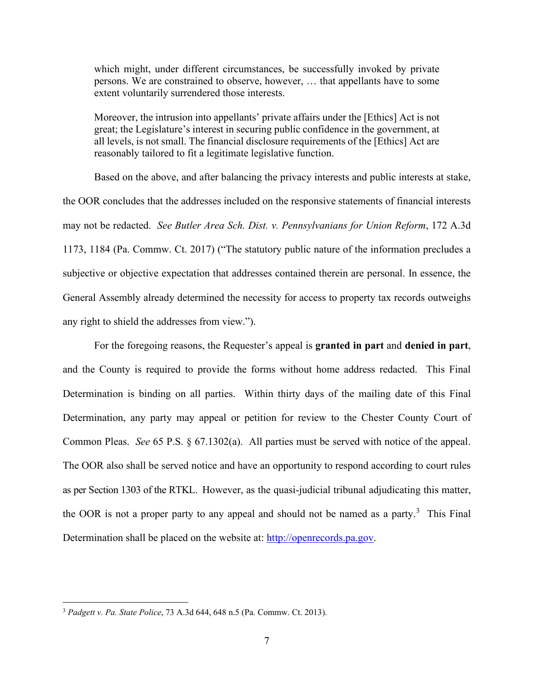which might, under different circumstances, be successfully invoked by private persons. We are constrained to observe, however, … that appellants have to some extent voluntarily surrendered those interests.

Moreover, the intrusion into appellants' private affairs under the [Ethics] Act is not great; the Legislature's interest in securing public confidence in the government, at all levels, is not small. The financial disclosure requirements of the [Ethics] Act are reasonably tailored to fit a legitimate legislative function.

Based on the above, and after balancing the privacy interests and public interests at stake, the OOR concludes that the addresses included on the responsive statements of financial interests may not be redacted. *See Butler Area Sch. Dist. v. Pennsylvanians for Union Reform*, 172 A.3d 1173, 1184 (Pa. Commw. Ct. 2017) ("The statutory public nature of the information precludes a subjective or objective expectation that addresses contained therein are personal. In essence, the General Assembly already determined the necessity for access to property tax records outweighs any right to shield the addresses from view.").

For the foregoing reasons, the Requester's appeal is **granted in part** and **denied in part**, and the County is required to provide the forms without home address redacted. This Final Determination is binding on all parties. Within thirty days of the mailing date of this Final Determination, any party may appeal or petition for review to the Chester County Court of Common Pleas.*See* 65 P.S. § 67.1302(a). All parties must be served with notice of the appeal. The OOR also shall be served notice and have an opportunity to respond according to court rules as per Section 1303 of the RTKL. However, as the quasi-judicial tribunal adjudicating this matter, the OOR is not a proper party to any appeal and should not be named as a party. $3$  This Final Determination shall be placed on the website at: [http://openrecords.pa.gov.](https://openrecords.pa.gov/)

<span id="page-6-0"></span><sup>3</sup> *Padgett v. Pa. State Police*, 73 A.3d 644, 648 n.5 (Pa. Commw. Ct. 2013).